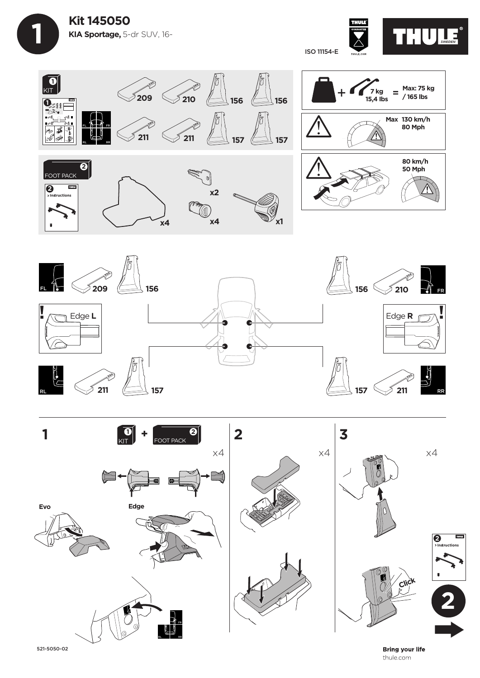



thule.com







521-5050-02